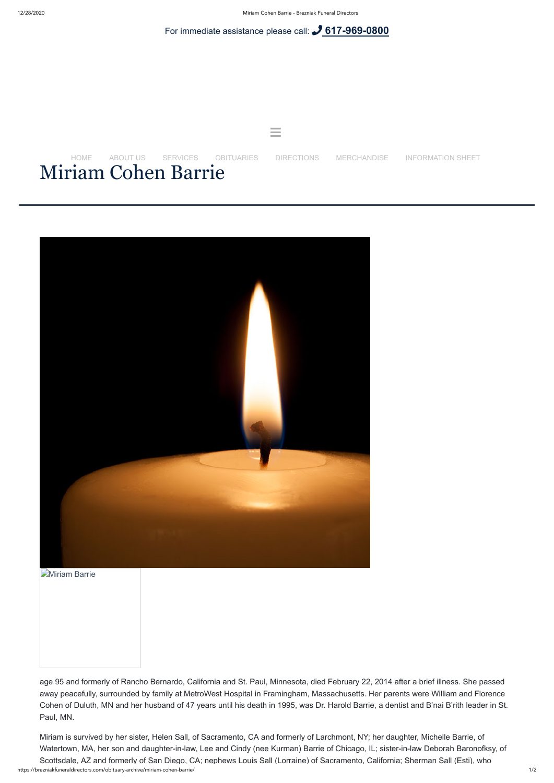For immediate assistance please call: **[617-969-0800](tel:+16179690800)**





**[Miriam Barrie](https://brezniakfuneraldirectors.com/wp-content/uploads/2014/02/Miriam-Barrie.jpg)** 



age 95 and formerly of Rancho Bernardo, California and St. Paul, Minnesota, died February 22, 2014 after a brief illness. She passed away peacefully, surrounded by family at MetroWest Hospital in Framingham, Massachusetts. Her parents were William and Florence Cohen of Duluth, MN and her husband of 47 years until his death in 1995, was Dr. Harold Barrie, a dentist and B'nai B'rith leader in St. Paul, MN.

https://brezniakfuneraldirectors.com/obituary-archive/miriam-cohen-barrie/ 1/2 Miriam is survived by her sister, Helen Sall, of Sacramento, CA and formerly of Larchmont, NY; her daughter, Michelle Barrie, of Watertown, MA, her son and daughter-in-law, Lee and Cindy (nee Kurman) Barrie of Chicago, IL; sister-in-law Deborah Baronofksy, of Scottsdale, AZ and formerly of San Diego, CA; nephews Louis Sall (Lorraine) of Sacramento, California; Sherman Sall (Esti), who